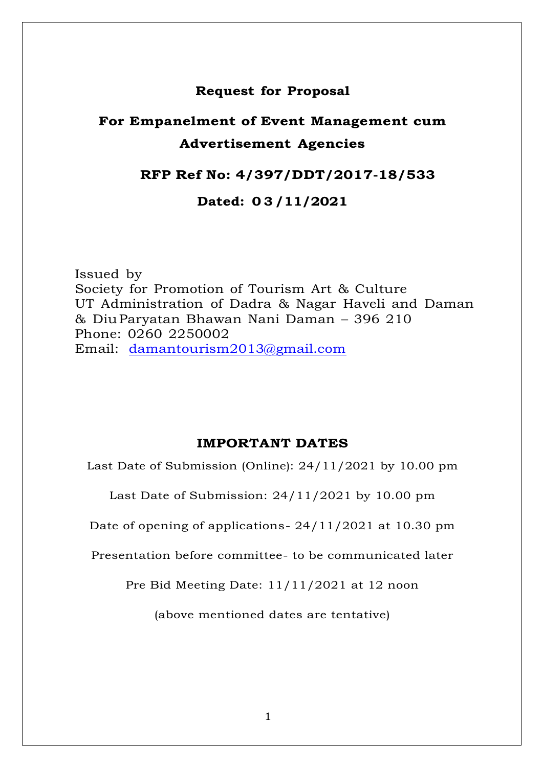# **Request for Proposal**

# **For Empanelment of Event Management cum Advertisement Agencies**

# **RFP Ref No: 4/397/DDT/2017-18/533**

# **Dated: 0 3 /11/2021**

Issued by Society for Promotion of Tourism Art & Culture UT Administration of Dadra & Nagar Haveli and Daman & DiuParyatan Bhawan Nani Daman – 396 210 Phone: 0260 2250002 Email: [damantourism2013@gmail.com](mailto:damantourism2013@gmail.com)

# **IMPORTANT DATES**

Last Date of Submission (Online): 24/11/2021 by 10.00 pm

Last Date of Submission: 24/11/2021 by 10.00 pm

Date of opening of applications- 24/11/2021 at 10.30 pm

Presentation before committee- to be communicated later

Pre Bid Meeting Date: 11/11/2021 at 12 noon

(above mentioned dates are tentative)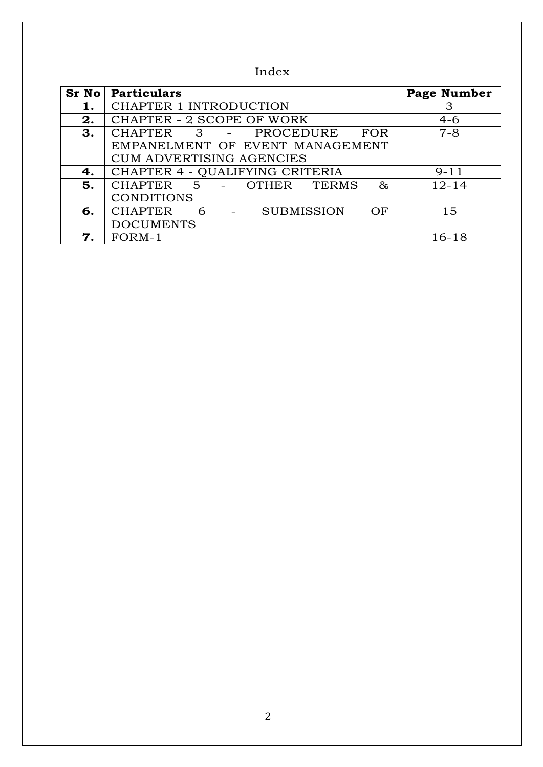Index

|    | <b>Sr No</b> Particulars                                                   | <b>Page Number</b> |
|----|----------------------------------------------------------------------------|--------------------|
|    | <b>CHAPTER 1 INTRODUCTION</b>                                              | 3                  |
| 2. | <b>CHAPTER - 2 SCOPE OF WORK</b>                                           | $4-6$              |
| 3. | CHAPTER 3 - PROCEDURE<br>FOR                                               | $7 - 8$            |
|    | EMPANELMENT OF EVENT MANAGEMENT                                            |                    |
|    | <b>CUM ADVERTISING AGENCIES</b>                                            |                    |
| 4. | CHAPTER 4 - QUALIFYING CRITERIA                                            | $9 - 11$           |
| 5. | CHAPTER 5 - OTHER TERMS<br>$\delta x$                                      | $12 - 14$          |
|    | <b>CONDITIONS</b>                                                          |                    |
| 6. | <b>CHAPTER</b><br><b>SUBMISSION</b><br>6<br>OF<br><b>Contract Contract</b> | 15                 |
|    | <b>DOCUMENTS</b>                                                           |                    |
| 7. | FORM-1                                                                     | 16-18              |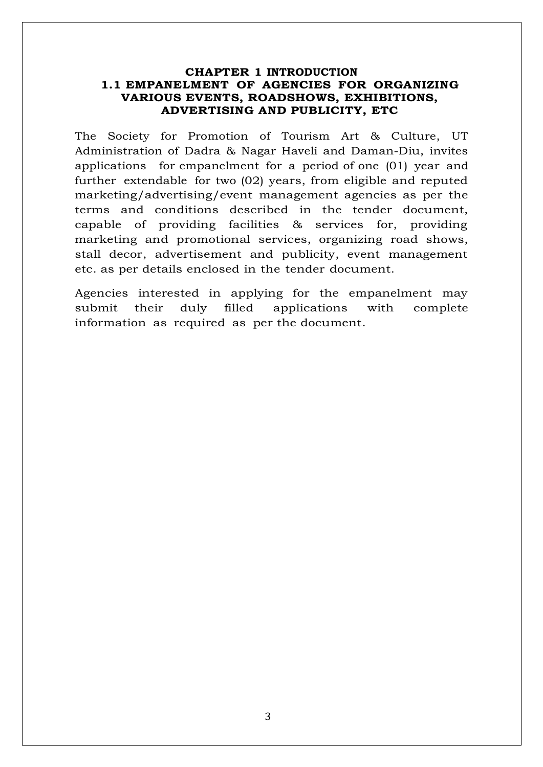## **CHAPTER 1 INTRODUCTION 1.1 EMPANELMENT OF AGENCIES FOR ORGANIZING VARIOUS EVENTS, ROADSHOWS, EXHIBITIONS, ADVERTISING AND PUBLICITY, ETC**

The Society for Promotion of Tourism Art & Culture, UT Administration of Dadra & Nagar Haveli and Daman-Diu, invites applications for empanelment for a period of one (01) year and further extendable for two (02) years, from eligible and reputed marketing/advertising/event management agencies as per the terms and conditions described in the tender document, capable of providing facilities & services for, providing marketing and promotional services, organizing road shows, stall decor, advertisement and publicity, event management etc. as per details enclosed in the tender document.

Agencies interested in applying for the empanelment may submit their duly filled applications with complete information as required as per the document.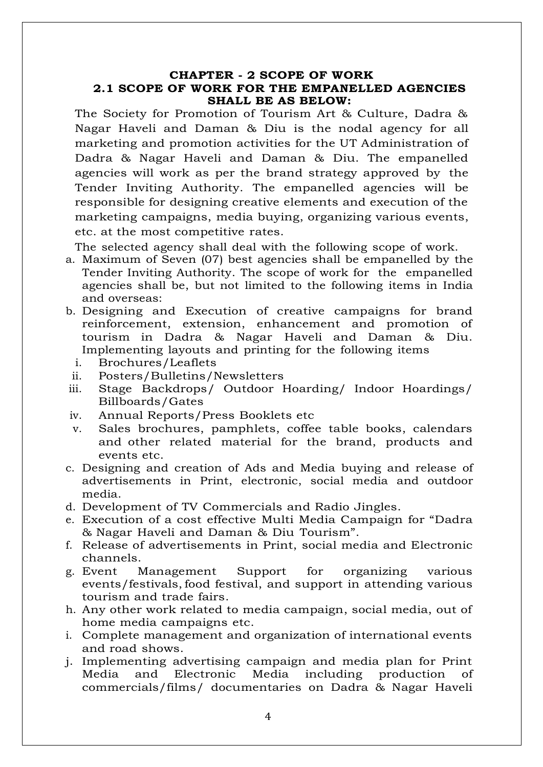## **CHAPTER - 2 SCOPE OF WORK 2.1 SCOPE OF WORK FOR THE EMPANELLED AGENCIES SHALL BE AS BELOW:**

The Society for Promotion of Tourism Art & Culture, Dadra & Nagar Haveli and Daman & Diu is the nodal agency for all marketing and promotion activities for the UT Administration of Dadra & Nagar Haveli and Daman & Diu. The empanelled agencies will work as per the brand strategy approved by the Tender Inviting Authority. The empanelled agencies will be responsible for designing creative elements and execution of the marketing campaigns, media buying, organizing various events, etc. at the most competitive rates.

The selected agency shall deal with the following scope of work.

- a. Maximum of Seven (07) best agencies shall be empanelled by the Tender Inviting Authority. The scope of work for the empanelled agencies shall be, but not limited to the following items in India and overseas:
- b. Designing and Execution of creative campaigns for brand reinforcement, extension, enhancement and promotion of tourism in Dadra & Nagar Haveli and Daman & Diu. Implementing layouts and printing for the following items
	- i. Brochures/Leaflets
	- ii. Posters/Bulletins/Newsletters
- iii. Stage Backdrops/ Outdoor Hoarding/ Indoor Hoardings/ Billboards/Gates
- iv. Annual Reports/Press Booklets etc
- v. Sales brochures, pamphlets, coffee table books, calendars and other related material for the brand, products and events etc.
- c. Designing and creation of Ads and Media buying and release of advertisements in Print, electronic, social media and outdoor media.
- d. Development of TV Commercials and Radio Jingles.
- e. Execution of a cost effective Multi Media Campaign for "Dadra & Nagar Haveli and Daman & Diu Tourism".
- f. Release of advertisements in Print, social media and Electronic channels.
- g. Event Management Support for organizing various events/festivals, food festival, and support in attending various tourism and trade fairs.
- h. Any other work related to media campaign, social media, out of home media campaigns etc.
- i. Complete management and organization of international events and road shows.
- j. Implementing advertising campaign and media plan for Print Media and Electronic Media including production of commercials/films/ documentaries on Dadra & Nagar Haveli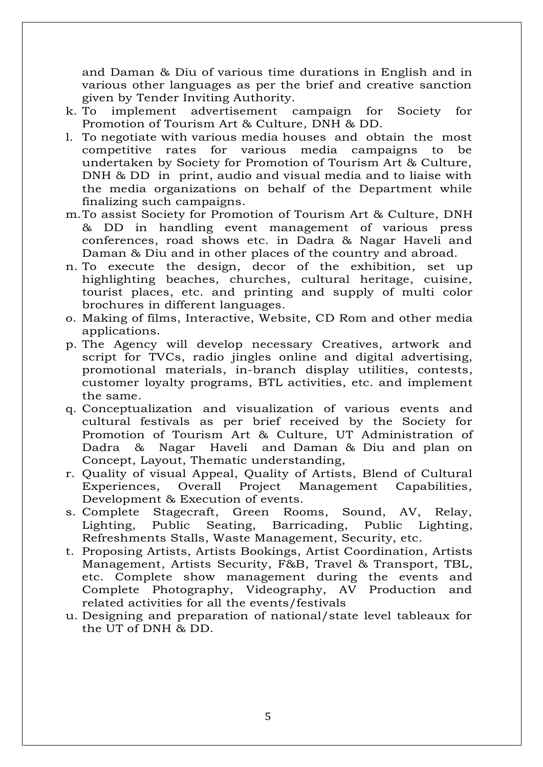and Daman & Diu of various time durations in English and in various other languages as per the brief and creative sanction given by Tender Inviting Authority.

- k. To implement advertisement campaign for Society for Promotion of Tourism Art & Culture, DNH & DD.
- l. To negotiate with various media houses and obtain the most competitive rates for various media campaigns to be undertaken by Society for Promotion of Tourism Art & Culture, DNH & DD in print, audio and visual media and to liaise with the media organizations on behalf of the Department while finalizing such campaigns.
- m.To assist Society for Promotion of Tourism Art & Culture, DNH & DD in handling event management of various press conferences, road shows etc. in Dadra & Nagar Haveli and Daman & Diu and in other places of the country and abroad.
- n. To execute the design, decor of the exhibition, set up highlighting beaches, churches, cultural heritage, cuisine, tourist places, etc. and printing and supply of multi color brochures in different languages.
- o. Making of films, Interactive, Website, CD Rom and other media applications.
- p. The Agency will develop necessary Creatives, artwork and script for TVCs, radio jingles online and digital advertising, promotional materials, in-branch display utilities, contests, customer loyalty programs, BTL activities, etc. and implement the same.
- q. Conceptualization and visualization of various events and cultural festivals as per brief received by the Society for Promotion of Tourism Art & Culture, UT Administration of Dadra & Nagar Haveli and Daman & Diu and plan on Concept, Layout, Thematic understanding,
- r. Quality of visual Appeal, Quality of Artists, Blend of Cultural Experiences, Overall Project Management Capabilities, Development & Execution of events.
- s. Complete Stagecraft, Green Rooms, Sound, AV, Relay, Lighting, Public Seating, Barricading, Public Lighting, Refreshments Stalls, Waste Management, Security, etc.
- t. Proposing Artists, Artists Bookings, Artist Coordination, Artists Management, Artists Security, F&B, Travel & Transport, TBL, etc. Complete show management during the events and Complete Photography, Videography, AV Production and related activities for all the events/festivals
- u. Designing and preparation of national/state level tableaux for the UT of DNH & DD.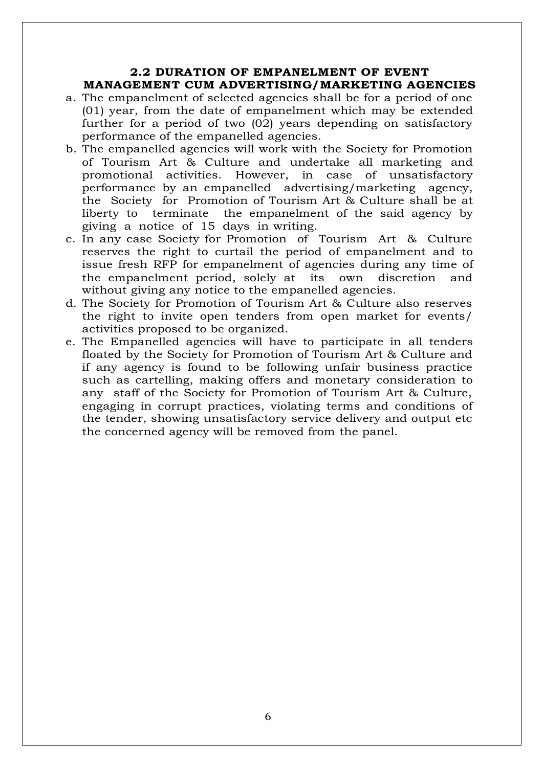## **2.2 DURATION OF EMPANELMENT OF EVENT MANAGEMENT CUM ADVERTISING/MARKETING AGENCIES**

- a. The empanelment of selected agencies shall be for a period of one (01) year, from the date of empanelment which may be extended further for a period of two (02) years depending on satisfactory performance of the empanelled agencies.
- b. The empanelled agencies will work with the Society for Promotion of Tourism Art & Culture and undertake all marketing and promotional activities. However, in case of unsatisfactory performance by an empanelled advertising/marketing agency, the Society for Promotion of Tourism Art & Culture shall be at liberty to terminate the empanelment of the said agency by giving a notice of 15 days in writing.
- c. In any case Society for Promotion of Tourism Art & Culture reserves the right to curtail the period of empanelment and to issue fresh RFP for empanelment of agencies during any time of the empanelment period, solely at its own discretion and without giving any notice to the empanelled agencies.
- d. The Society for Promotion of Tourism Art & Culture also reserves the right to invite open tenders from open market for events/ activities proposed to be organized.
- e. The Empanelled agencies will have to participate in all tenders floated by the Society for Promotion of Tourism Art & Culture and if any agency is found to be following unfair business practice such as cartelling, making offers and monetary consideration to any staff of the Society for Promotion of Tourism Art & Culture, engaging in corrupt practices, violating terms and conditions of the tender, showing unsatisfactory service delivery and output etc the concerned agency will be removed from the panel.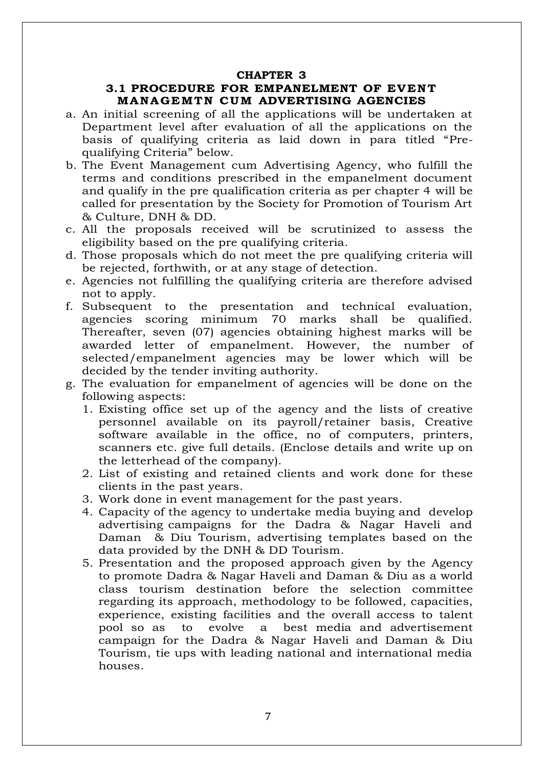#### **CHAPTER 3**

## **3.1 PROCEDURE FOR EMPANELMENT OF EVENT MANAGEMTN CUM ADVERTISING AGENCIES**

- a. An initial screening of all the applications will be undertaken at Department level after evaluation of all the applications on the basis of qualifying criteria as laid down in para titled "Prequalifying Criteria" below.
- b. The Event Management cum Advertising Agency, who fulfill the terms and conditions prescribed in the empanelment document and qualify in the pre qualification criteria as per chapter 4 will be called for presentation by the Society for Promotion of Tourism Art & Culture, DNH & DD.
- c. All the proposals received will be scrutinized to assess the eligibility based on the pre qualifying criteria.
- d. Those proposals which do not meet the pre qualifying criteria will be rejected, forthwith, or at any stage of detection.
- e. Agencies not fulfilling the qualifying criteria are therefore advised not to apply.
- f. Subsequent to the presentation and technical evaluation, agencies scoring minimum 70 marks shall be qualified. Thereafter, seven (07) agencies obtaining highest marks will be awarded letter of empanelment. However, the number of selected/empanelment agencies may be lower which will be decided by the tender inviting authority.
- g. The evaluation for empanelment of agencies will be done on the following aspects:
	- 1. Existing office set up of the agency and the lists of creative personnel available on its payroll/retainer basis, Creative software available in the office, no of computers, printers, scanners etc. give full details. (Enclose details and write up on the letterhead of the company).
	- 2. List of existing and retained clients and work done for these clients in the past years.
	- 3. Work done in event management for the past years.
	- 4. Capacity of the agency to undertake media buying and develop advertising campaigns for the Dadra & Nagar Haveli and Daman & Diu Tourism, advertising templates based on the data provided by the DNH & DD Tourism.
	- 5. Presentation and the proposed approach given by the Agency to promote Dadra & Nagar Haveli and Daman & Diu as a world class tourism destination before the selection committee regarding its approach, methodology to be followed, capacities, experience, existing facilities and the overall access to talent pool so as to evolve a best media and advertisement campaign for the Dadra & Nagar Haveli and Daman & Diu Tourism, tie ups with leading national and international media houses.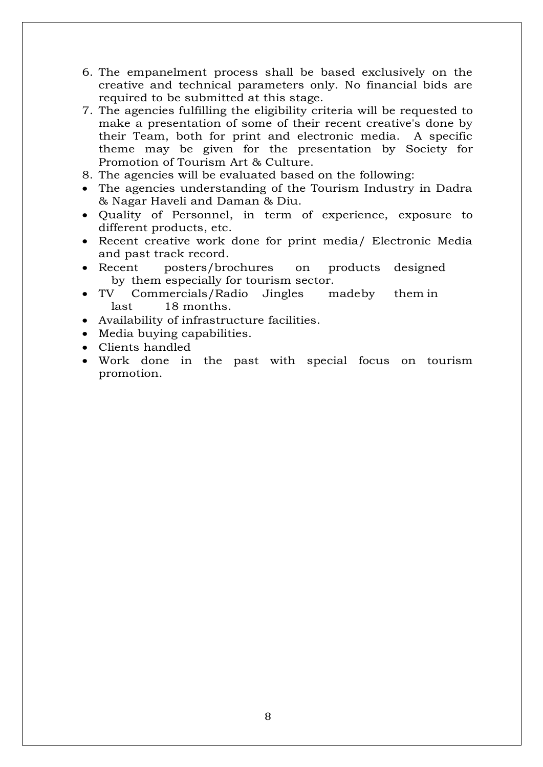- 6. The empanelment process shall be based exclusively on the creative and technical parameters only. No financial bids are required to be submitted at this stage.
- 7. The agencies fulfilling the eligibility criteria will be requested to make a presentation of some of their recent creative's done by their Team, both for print and electronic media. A specific theme may be given for the presentation by Society for Promotion of Tourism Art & Culture.
- 8. The agencies will be evaluated based on the following:
- The agencies understanding of the Tourism Industry in Dadra & Nagar Haveli and Daman & Diu.
- Quality of Personnel, in term of experience, exposure to different products, etc.
- Recent creative work done for print media/ Electronic Media and past track record.
- Recent posters/brochures on products designed by them especially for tourism sector.
- TV Commercials/Radio Jingles madeby them in last 18 months.
- Availability of infrastructure facilities.
- Media buying capabilities.
- Clients handled
- Work done in the past with special focus on tourism promotion.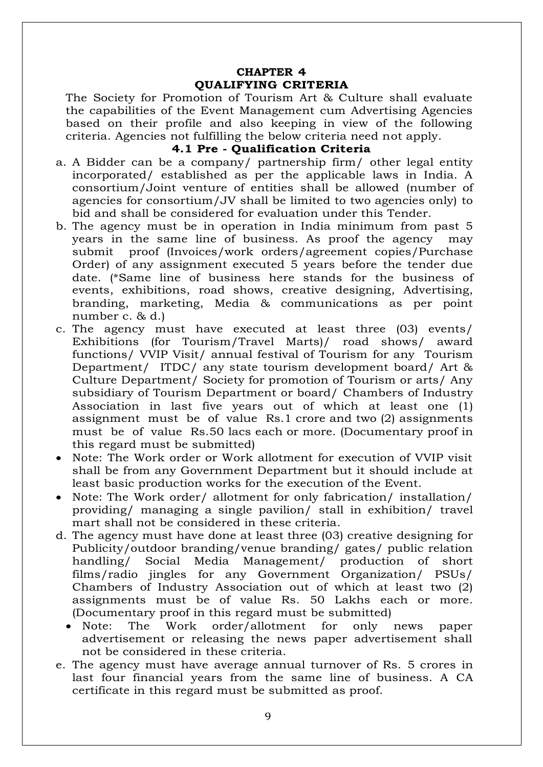## **CHAPTER 4 QUALIFYING CRITERIA**

The Society for Promotion of Tourism Art & Culture shall evaluate the capabilities of the Event Management cum Advertising Agencies based on their profile and also keeping in view of the following criteria. Agencies not fulfilling the below criteria need not apply.

## **4.1 Pre - Qualification Criteria**

- a. A Bidder can be a company/ partnership firm/ other legal entity incorporated/ established as per the applicable laws in India. A consortium/Joint venture of entities shall be allowed (number of agencies for consortium/JV shall be limited to two agencies only) to bid and shall be considered for evaluation under this Tender.
- b. The agency must be in operation in India minimum from past 5 years in the same line of business. As proof the agency may submit proof (Invoices/work orders/agreement copies/Purchase Order) of any assignment executed 5 years before the tender due date. (\*Same line of business here stands for the business of events, exhibitions, road shows, creative designing, Advertising, branding, marketing, Media & communications as per point number c. & d.)
- c. The agency must have executed at least three (03) events/ Exhibitions (for Tourism/Travel Marts)/ road shows/ award functions/ VVIP Visit/ annual festival of Tourism for any Tourism Department/ ITDC/ any state tourism development board/ Art & Culture Department/ Society for promotion of Tourism or arts/ Any subsidiary of Tourism Department or board/ Chambers of Industry Association in last five years out of which at least one (1) assignment must be of value Rs.1 crore and two (2) assignments must be of value Rs.50 lacs each or more. (Documentary proof in this regard must be submitted)
- Note: The Work order or Work allotment for execution of VVIP visit shall be from any Government Department but it should include at least basic production works for the execution of the Event.
- Note: The Work order/ allotment for only fabrication/ installation/ providing/ managing a single pavilion/ stall in exhibition/ travel mart shall not be considered in these criteria.
- d. The agency must have done at least three (03) creative designing for Publicity/outdoor branding/venue branding/ gates/ public relation handling/ Social Media Management/ production of short films/radio jingles for any Government Organization/ PSUs/ Chambers of Industry Association out of which at least two (2) assignments must be of value Rs. 50 Lakhs each or more. (Documentary proof in this regard must be submitted)
	- Note: The Work order/allotment for only news paper advertisement or releasing the news paper advertisement shall not be considered in these criteria.
- e. The agency must have average annual turnover of Rs. 5 crores in last four financial years from the same line of business. A CA certificate in this regard must be submitted as proof.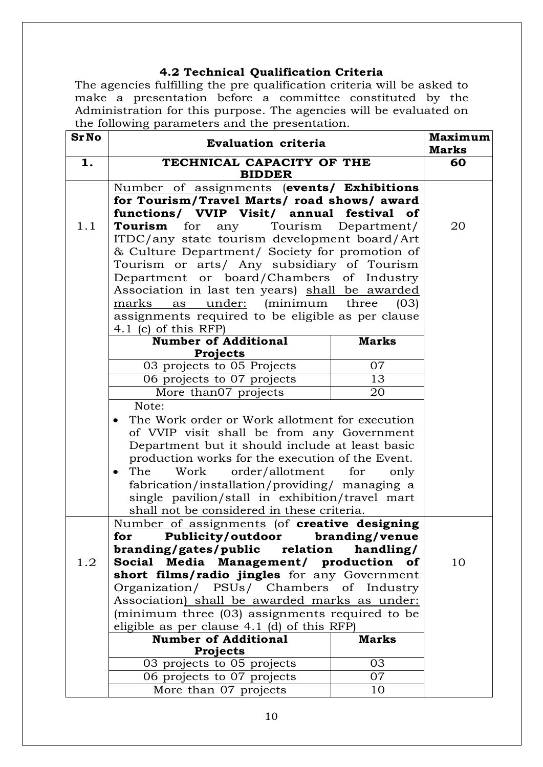# **4.2 Technical Qualification Criteria**

The agencies fulfilling the pre qualification criteria will be asked to make a presentation before a committee constituted by the Administration for this purpose. The agencies will be evaluated on the following parameters and the presentation.

| <b>SrNo</b> | <b>Evaluation criteria</b>                                                |              | <b>Maximum</b> |
|-------------|---------------------------------------------------------------------------|--------------|----------------|
|             |                                                                           |              | <b>Marks</b>   |
| 1.          | TECHNICAL CAPACITY OF THE<br><b>BIDDER</b>                                |              | 60             |
|             | Number of assignments (events/ Exhibitions                                |              |                |
|             | for Tourism/Travel Marts/ road shows/ award                               |              |                |
|             | functions/ VVIP Visit/ annual festival of                                 |              |                |
| 1.1         | Tourism for any Tourism Department/                                       |              | 20             |
|             | ITDC/any state tourism development board/Art                              |              |                |
|             | & Culture Department/ Society for promotion of                            |              |                |
|             | Tourism or arts/ Any subsidiary of Tourism                                |              |                |
|             | Department or board/Chambers of Industry                                  |              |                |
|             | Association in last ten years) shall be awarded                           |              |                |
|             | marks as under: (minimum three (03)                                       |              |                |
|             | assignments required to be eligible as per clause<br>4.1 (c) of this RFP) |              |                |
|             | <b>Number of Additional</b>                                               | <b>Marks</b> |                |
|             | <b>Projects</b>                                                           |              |                |
|             | 03 projects to 05 Projects                                                | 07           |                |
|             | 06 projects to 07 projects                                                | 13           |                |
|             | More than07 projects                                                      | 20           |                |
|             | Note:                                                                     |              |                |
|             | The Work order or Work allotment for execution                            |              |                |
|             | of VVIP visit shall be from any Government                                |              |                |
|             | Department but it should include at least basic                           |              |                |
|             | production works for the execution of the Event.                          |              |                |
|             | Work<br>order/allotment<br>The<br>$\bullet$                               | for<br>only  |                |
|             | fabrication/installation/providing/ managing a                            |              |                |
|             | single pavilion/stall in exhibition/travel mart                           |              |                |
|             | shall not be considered in these criteria.                                |              |                |
|             | Number of assignments (of creative designing                              |              |                |
|             | for Publicity/outdoor branding/venue                                      |              |                |
|             | branding/gates/public relation                                            | handling/    |                |
| 1.2         | Media<br>Management/ production of<br><b>Social</b>                       |              | 10             |
|             | short films/radio jingles for any Government                              |              |                |
|             | Organization/ PSUs/ Chambers of Industry                                  |              |                |
|             | Association) shall be awarded marks as under:                             |              |                |
|             | (minimum three (03) assignments required to be                            |              |                |
|             | eligible as per clause $4.1$ (d) of this RFP)                             |              |                |
|             | <b>Number of Additional</b>                                               | <b>Marks</b> |                |
|             | <b>Projects</b>                                                           |              |                |
|             | 03 projects to 05 projects                                                | 03           |                |
|             | 06 projects to 07 projects                                                | 07           |                |
|             | More than 07 projects                                                     | 10           |                |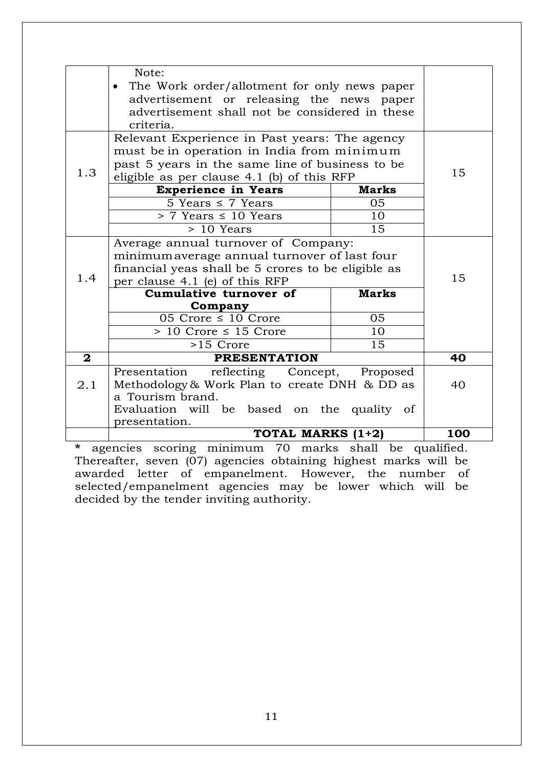|              | Note:<br>The Work order/allotment for only news paper<br>advertisement or releasing the news paper<br>advertisement shall not be considered in these                        |              |     |  |
|--------------|-----------------------------------------------------------------------------------------------------------------------------------------------------------------------------|--------------|-----|--|
|              | criteria.                                                                                                                                                                   |              |     |  |
|              | Relevant Experience in Past years: The agency<br>must be in operation in India from minimum                                                                                 |              |     |  |
| 1.3          | past 5 years in the same line of business to be<br>eligible as per clause 4.1 (b) of this RFP                                                                               |              | 15  |  |
|              | <b>Experience in Years</b>                                                                                                                                                  | <b>Marks</b> |     |  |
|              | $\overline{5}$ Years $\leq 7$ Years                                                                                                                                         | 05           |     |  |
|              | $> 7$ Years $\leq 10$ Years                                                                                                                                                 | 10           |     |  |
|              | $> 10$ Years                                                                                                                                                                | 15           |     |  |
| 1.4          | Average annual turnover of Company:<br>minimum average annual turnover of last four<br>financial yeas shall be 5 crores to be eligible as<br>per clause 4.1 (e) of this RFP |              | 15  |  |
|              | Cumulative turnover of                                                                                                                                                      | <b>Marks</b> |     |  |
|              | Company                                                                                                                                                                     |              |     |  |
|              | 05 Crore $\leq$ 10 Crore                                                                                                                                                    | 05           |     |  |
|              | $> 10$ Crore $\leq 15$ Crore                                                                                                                                                | 10           |     |  |
|              | >15 Crore                                                                                                                                                                   | 15           |     |  |
| $\mathbf{2}$ | <b>PRESENTATION</b>                                                                                                                                                         |              | 40  |  |
| 2.1          | Presentation<br>reflecting Concept, Proposed<br>Methodology & Work Plan to create DNH & DD as<br>a Tourism brand.                                                           |              | 40  |  |
|              | Evaluation will be based on the quality of<br>presentation.                                                                                                                 |              |     |  |
|              | TOTAL MARKS (1+2)                                                                                                                                                           |              | 100 |  |

**\*** agencies scoring minimum 70 marks shall be qualified. Thereafter, seven (07) agencies obtaining highest marks will be awarded letter of empanelment. However, the number of selected/empanelment agencies may be lower which will be decided by the tender inviting authority.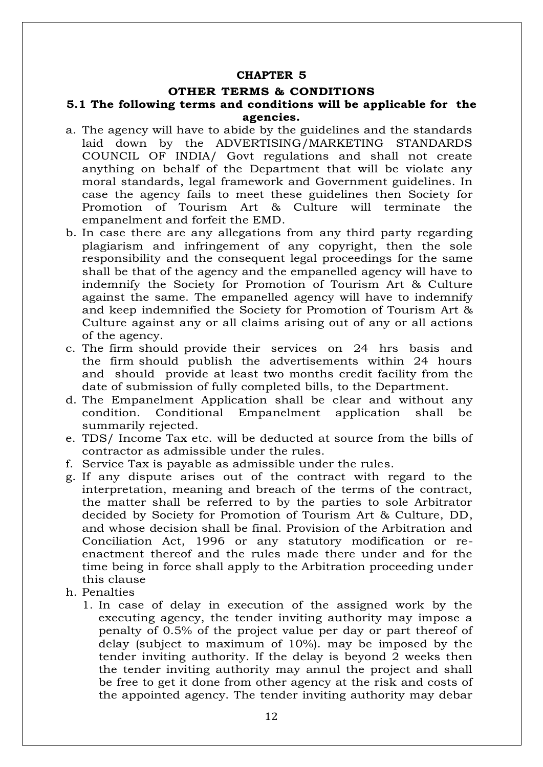#### **CHAPTER 5**

#### **OTHER TERMS & CONDITIONS**

#### **5.1 The following terms and conditions will be applicable for the agencies.**

- a. The agency will have to abide by the guidelines and the standards laid down by the ADVERTISING/MARKETING STANDARDS COUNCIL OF INDIA/ Govt regulations and shall not create anything on behalf of the Department that will be violate any moral standards, legal framework and Government guidelines. In case the agency fails to meet these guidelines then Society for Promotion of Tourism Art & Culture will terminate the empanelment and forfeit the EMD.
- b. In case there are any allegations from any third party regarding plagiarism and infringement of any copyright, then the sole responsibility and the consequent legal proceedings for the same shall be that of the agency and the empanelled agency will have to indemnify the Society for Promotion of Tourism Art & Culture against the same. The empanelled agency will have to indemnify and keep indemnified the Society for Promotion of Tourism Art & Culture against any or all claims arising out of any or all actions of the agency.
- c. The firm should provide their services on 24 hrs basis and the firm should publish the advertisements within 24 hours and should provide at least two months credit facility from the date of submission of fully completed bills, to the Department.
- d. The Empanelment Application shall be clear and without any condition. Conditional Empanelment application shall be summarily rejected.
- e. TDS/ Income Tax etc. will be deducted at source from the bills of contractor as admissible under the rules.
- f. Service Tax is payable as admissible under the rules.
- g. If any dispute arises out of the contract with regard to the interpretation, meaning and breach of the terms of the contract, the matter shall be referred to by the parties to sole Arbitrator decided by Society for Promotion of Tourism Art & Culture, DD, and whose decision shall be final. Provision of the Arbitration and Conciliation Act, 1996 or any statutory modification or reenactment thereof and the rules made there under and for the time being in force shall apply to the Arbitration proceeding under this clause
- h. Penalties
	- 1. In case of delay in execution of the assigned work by the executing agency, the tender inviting authority may impose a penalty of 0.5% of the project value per day or part thereof of delay (subject to maximum of 10%). may be imposed by the tender inviting authority. If the delay is beyond 2 weeks then the tender inviting authority may annul the project and shall be free to get it done from other agency at the risk and costs of the appointed agency. The tender inviting authority may debar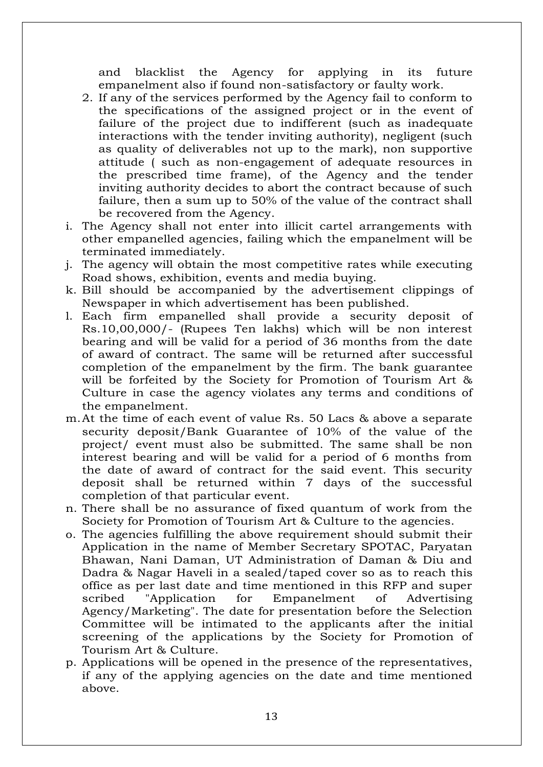and blacklist the Agency for applying in its future empanelment also if found non-satisfactory or faulty work.

- 2. If any of the services performed by the Agency fail to conform to the specifications of the assigned project or in the event of failure of the project due to indifferent (such as inadequate interactions with the tender inviting authority), negligent (such as quality of deliverables not up to the mark), non supportive attitude ( such as non-engagement of adequate resources in the prescribed time frame), of the Agency and the tender inviting authority decides to abort the contract because of such failure, then a sum up to 50% of the value of the contract shall be recovered from the Agency.
- i. The Agency shall not enter into illicit cartel arrangements with other empanelled agencies, failing which the empanelment will be terminated immediately.
- j. The agency will obtain the most competitive rates while executing Road shows, exhibition, events and media buying.
- k. Bill should be accompanied by the advertisement clippings of Newspaper in which advertisement has been published.
- l. Each firm empanelled shall provide a security deposit of Rs.10,00,000/- (Rupees Ten lakhs) which will be non interest bearing and will be valid for a period of 36 months from the date of award of contract. The same will be returned after successful completion of the empanelment by the firm. The bank guarantee will be forfeited by the Society for Promotion of Tourism Art & Culture in case the agency violates any terms and conditions of the empanelment.
- m.At the time of each event of value Rs. 50 Lacs & above a separate security deposit/Bank Guarantee of 10% of the value of the project/ event must also be submitted. The same shall be non interest bearing and will be valid for a period of 6 months from the date of award of contract for the said event. This security deposit shall be returned within 7 days of the successful completion of that particular event.
- n. There shall be no assurance of fixed quantum of work from the Society for Promotion of Tourism Art & Culture to the agencies.
- o. The agencies fulfilling the above requirement should submit their Application in the name of Member Secretary SPOTAC, Paryatan Bhawan, Nani Daman, UT Administration of Daman & Diu and Dadra & Nagar Haveli in a sealed/taped cover so as to reach this office as per last date and time mentioned in this RFP and super scribed "Application for Empanelment of Advertising Agency/Marketing". The date for presentation before the Selection Committee will be intimated to the applicants after the initial screening of the applications by the Society for Promotion of Tourism Art & Culture.
- p. Applications will be opened in the presence of the representatives, if any of the applying agencies on the date and time mentioned above.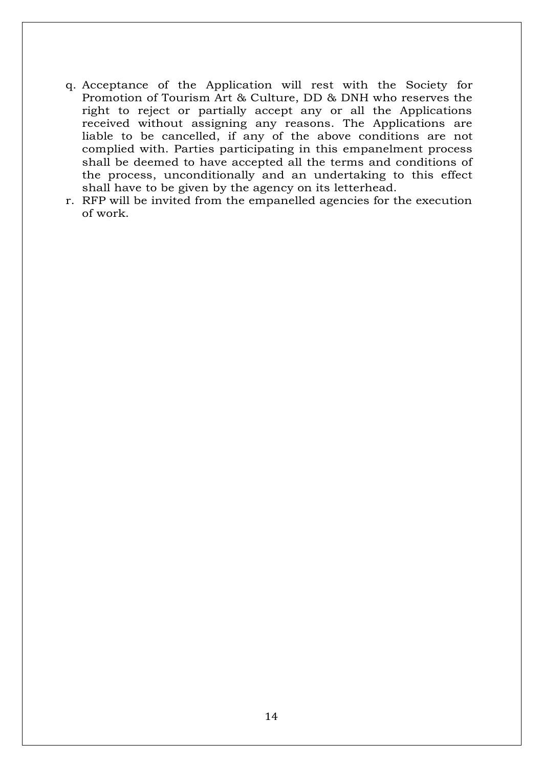- q. Acceptance of the Application will rest with the Society for Promotion of Tourism Art & Culture, DD & DNH who reserves the right to reject or partially accept any or all the Applications received without assigning any reasons. The Applications are liable to be cancelled, if any of the above conditions are not complied with. Parties participating in this empanelment process shall be deemed to have accepted all the terms and conditions of the process, unconditionally and an undertaking to this effect shall have to be given by the agency on its letterhead.
- r. RFP will be invited from the empanelled agencies for the execution of work.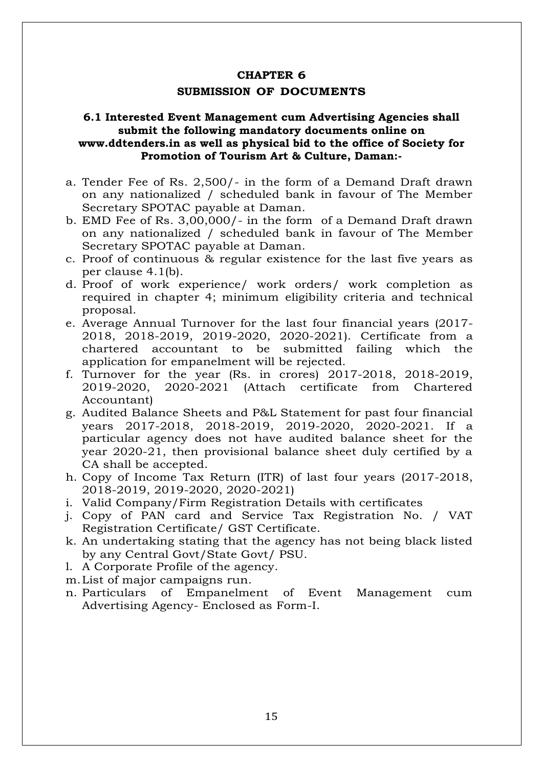#### **CHAPTER 6**

#### **SUBMISSION OF DOCUMENTS**

### **6.1 Interested Event Management cum Advertising Agencies shall submit the following mandatory documents online on [www.ddtenders.in](http://www.ddtenders.in/) as well as physical bid to the office of Society for Promotion of Tourism Art & Culture, Daman:-**

- a. Tender Fee of Rs. 2,500/- in the form of a Demand Draft drawn on any nationalized / scheduled bank in favour of The Member Secretary SPOTAC payable at Daman.
- b. EMD Fee of Rs. 3,00,000/- in the form of a Demand Draft drawn on any nationalized / scheduled bank in favour of The Member Secretary SPOTAC payable at Daman.
- c. Proof of continuous & regular existence for the last five years as per clause 4.1(b).
- d. Proof of work experience/ work orders/ work completion as required in chapter 4; minimum eligibility criteria and technical proposal.
- e. Average Annual Turnover for the last four financial years (2017- 2018, 2018-2019, 2019-2020, 2020-2021). Certificate from a chartered accountant to be submitted failing which the application for empanelment will be rejected.
- f. Turnover for the year (Rs. in crores) 2017-2018, 2018-2019, 2019-2020, 2020-2021 (Attach certificate from Chartered Accountant)
- g. Audited Balance Sheets and P&L Statement for past four financial years 2017-2018, 2018-2019, 2019-2020, 2020-2021. If a particular agency does not have audited balance sheet for the year 2020-21, then provisional balance sheet duly certified by a CA shall be accepted.
- h. Copy of Income Tax Return (ITR) of last four years (2017-2018, 2018-2019, 2019-2020, 2020-2021)
- i. Valid Company/Firm Registration Details with certificates
- j. Copy of PAN card and Service Tax Registration No. / VAT Registration Certificate/ GST Certificate.
- k. An undertaking stating that the agency has not being black listed by any Central Govt/State Govt/ PSU.
- l. A Corporate Profile of the agency.
- m.List of major campaigns run.
- n. Particulars of Empanelment of Event Management cum Advertising Agency- Enclosed as Form-I.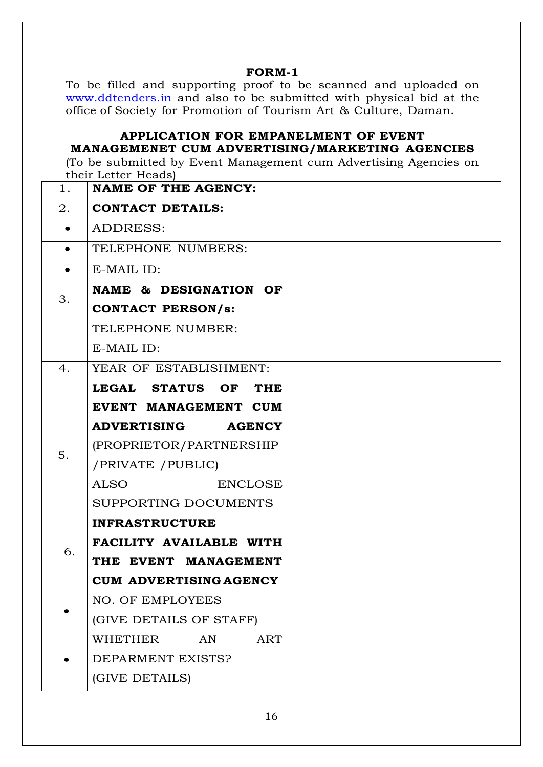#### **FORM-1**

To be filled and supporting proof to be scanned and uploaded on [www.ddtenders.in](http://www.ddtenders.in/) and also to be submitted with physical bid at the office of Society for Promotion of Tourism Art & Culture, Daman.

## **APPLICATION FOR EMPANELMENT OF EVENT MANAGEMENET CUM ADVERTISING/MARKETING AGENCIES**

(To be submitted by Event Management cum Advertising Agencies on their Letter Heads)

| 1.        | <b>NAME OF THE AGENCY:</b>          |  |
|-----------|-------------------------------------|--|
| 2.        | <b>CONTACT DETAILS:</b>             |  |
| $\bullet$ | ADDRESS:                            |  |
| $\bullet$ | TELEPHONE NUMBERS:                  |  |
|           | E-MAIL ID:                          |  |
| 3.        | NAME & DESIGNATION OF               |  |
|           | <b>CONTACT PERSON/s:</b>            |  |
|           | TELEPHONE NUMBER:                   |  |
|           | E-MAIL ID:                          |  |
| 4.        | YEAR OF ESTABLISHMENT:              |  |
|           | LEGAL STATUS OF<br><b>THE</b>       |  |
|           | EVENT MANAGEMENT CUM                |  |
|           | <b>ADVERTISING</b><br><b>AGENCY</b> |  |
| 5.        | (PROPRIETOR/PARTNERSHIP             |  |
|           | /PRIVATE / PUBLIC)                  |  |
|           | <b>ALSO</b><br><b>ENCLOSE</b>       |  |
|           | SUPPORTING DOCUMENTS                |  |
|           | <b>INFRASTRUCTURE</b>               |  |
| 6.        | <b>FACILITY AVAILABLE WITH</b>      |  |
|           | THE EVENT MANAGEMENT                |  |
|           | <b>CUM ADVERTISING AGENCY</b>       |  |
|           | <b>NO. OF EMPLOYEES</b>             |  |
|           | (GIVE DETAILS OF STAFF)             |  |
|           | <b>WHETHER</b><br>AN<br><b>ART</b>  |  |
|           | DEPARMENT EXISTS?                   |  |
|           | (GIVE DETAILS)                      |  |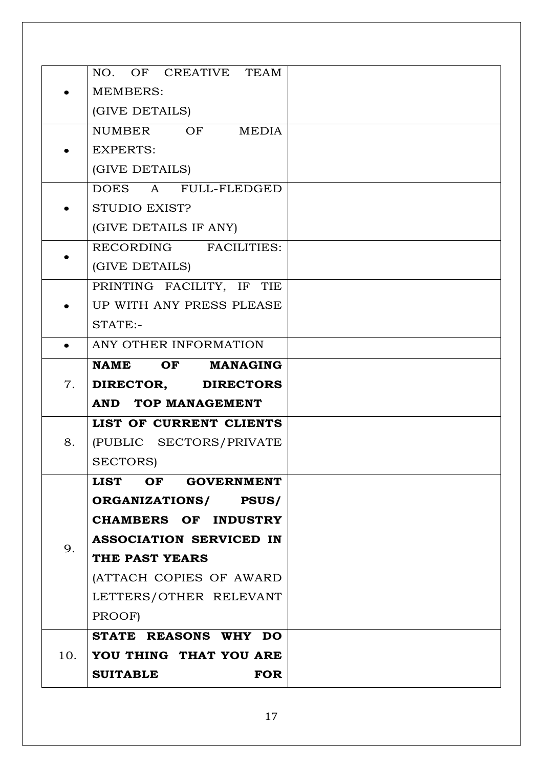|     | NO. OF CREATIVE TEAM           |  |
|-----|--------------------------------|--|
|     | <b>MEMBERS:</b>                |  |
|     | (GIVE DETAILS)                 |  |
|     | NUMBER OF MEDIA                |  |
|     | <b>EXPERTS:</b>                |  |
|     | (GIVE DETAILS)                 |  |
|     | DOES A FULL-FLEDGED            |  |
|     | STUDIO EXIST?                  |  |
|     | (GIVE DETAILS IF ANY)          |  |
|     | RECORDING FACILITIES:          |  |
|     | (GIVE DETAILS)                 |  |
|     | PRINTING FACILITY, IF TIE      |  |
|     | UP WITH ANY PRESS PLEASE       |  |
|     | STATE:-                        |  |
|     | ANY OTHER INFORMATION          |  |
|     | NAME OF<br><b>MANAGING</b>     |  |
|     |                                |  |
| 7.  | DIRECTOR, DIRECTORS            |  |
|     | <b>AND TOP MANAGEMENT</b>      |  |
|     | LIST OF CURRENT CLIENTS        |  |
| 8.  | (PUBLIC SECTORS/PRIVATE        |  |
|     | SECTORS)                       |  |
|     | LIST OF GOVERNMENT             |  |
|     | ORGANIZATIONS/ PSUS/           |  |
|     | <b>CHAMBERS OF INDUSTRY</b>    |  |
|     | <b>ASSOCIATION SERVICED IN</b> |  |
| 9.  | THE PAST YEARS                 |  |
|     | (ATTACH COPIES OF AWARD        |  |
|     | LETTERS/OTHER RELEVANT         |  |
|     | PROOF)                         |  |
|     | STATE REASONS WHY DO           |  |
| 10. | YOU THING THAT YOU ARE         |  |